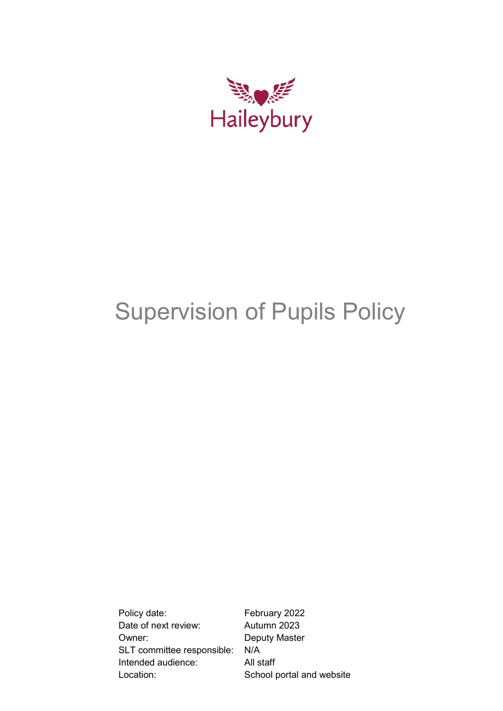

# Supervision of Pupils Policy

Policy date: February 2022 Date of next review: Autumn 2023 Owner: Deputy Master SLT committee responsible: N/A Intended audience: All staff Location: School portal and website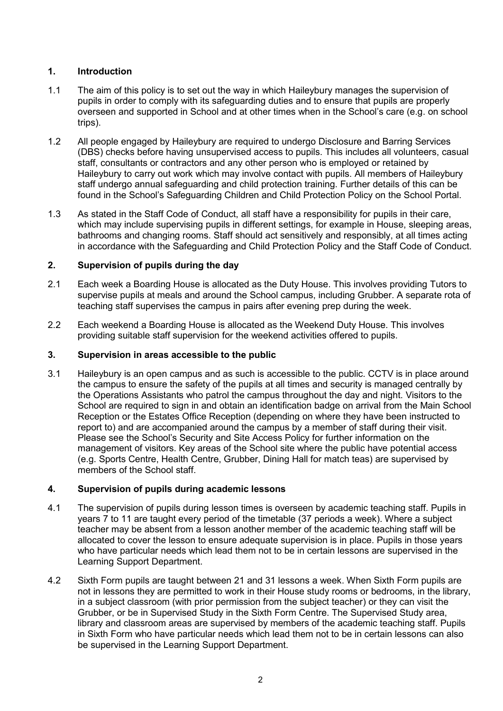# **1. Introduction**

- 1.1 The aim of this policy is to set out the way in which Haileybury manages the supervision of pupils in order to comply with its safeguarding duties and to ensure that pupils are properly overseen and supported in School and at other times when in the School's care (e.g. on school trips).
- 1.2 All people engaged by Haileybury are required to undergo Disclosure and Barring Services (DBS) checks before having unsupervised access to pupils. This includes all volunteers, casual staff, consultants or contractors and any other person who is employed or retained by Haileybury to carry out work which may involve contact with pupils. All members of Haileybury staff undergo annual safeguarding and child protection training. Further details of this can be found in the School's Safeguarding Children and Child Protection Policy on the School Portal.
- 1.3 As stated in the Staff Code of Conduct, all staff have a responsibility for pupils in their care, which may include supervising pupils in different settings, for example in House, sleeping areas, bathrooms and changing rooms. Staff should act sensitively and responsibly, at all times acting in accordance with the Safeguarding and Child Protection Policy and the Staff Code of Conduct.

# **2. Supervision of pupils during the day**

- 2.1 Each week a Boarding House is allocated as the Duty House. This involves providing Tutors to supervise pupils at meals and around the School campus, including Grubber. A separate rota of teaching staff supervises the campus in pairs after evening prep during the week.
- 2.2 Each weekend a Boarding House is allocated as the Weekend Duty House. This involves providing suitable staff supervision for the weekend activities offered to pupils.

## **3. Supervision in areas accessible to the public**

3.1 Haileybury is an open campus and as such is accessible to the public. CCTV is in place around the campus to ensure the safety of the pupils at all times and security is managed centrally by the Operations Assistants who patrol the campus throughout the day and night. Visitors to the School are required to sign in and obtain an identification badge on arrival from the Main School Reception or the Estates Office Reception (depending on where they have been instructed to report to) and are accompanied around the campus by a member of staff during their visit. Please see the School's Security and Site Access Policy for further information on the management of visitors. Key areas of the School site where the public have potential access (e.g. Sports Centre, Health Centre, Grubber, Dining Hall for match teas) are supervised by members of the School staff.

#### **4. Supervision of pupils during academic lessons**

- 4.1 The supervision of pupils during lesson times is overseen by academic teaching staff. Pupils in years 7 to 11 are taught every period of the timetable (37 periods a week). Where a subject teacher may be absent from a lesson another member of the academic teaching staff will be allocated to cover the lesson to ensure adequate supervision is in place. Pupils in those years who have particular needs which lead them not to be in certain lessons are supervised in the Learning Support Department.
- 4.2 Sixth Form pupils are taught between 21 and 31 lessons a week. When Sixth Form pupils are not in lessons they are permitted to work in their House study rooms or bedrooms, in the library, in a subject classroom (with prior permission from the subject teacher) or they can visit the Grubber, or be in Supervised Study in the Sixth Form Centre. The Supervised Study area, library and classroom areas are supervised by members of the academic teaching staff. Pupils in Sixth Form who have particular needs which lead them not to be in certain lessons can also be supervised in the Learning Support Department.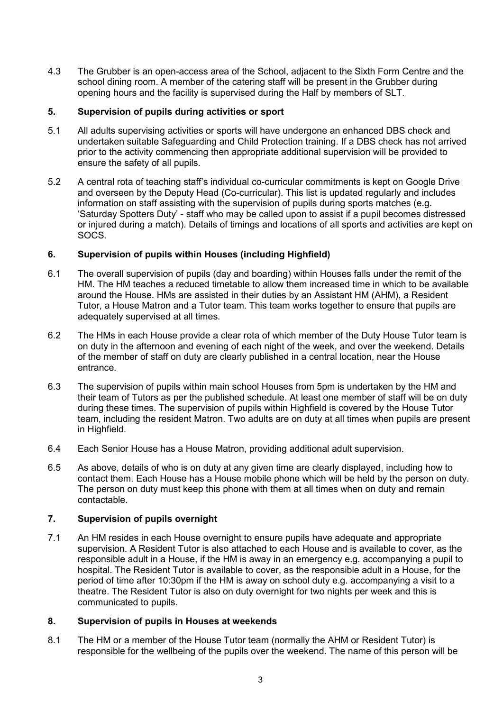4.3 The Grubber is an open-access area of the School, adjacent to the Sixth Form Centre and the school dining room. A member of the catering staff will be present in the Grubber during opening hours and the facility is supervised during the Half by members of SLT.

## **5. Supervision of pupils during activities or sport**

- 5.1 All adults supervising activities or sports will have undergone an enhanced DBS check and undertaken suitable Safeguarding and Child Protection training. If a DBS check has not arrived prior to the activity commencing then appropriate additional supervision will be provided to ensure the safety of all pupils.
- 5.2 A central rota of teaching staff's individual co-curricular commitments is kept on Google Drive and overseen by the Deputy Head (Co-curricular). This list is updated regularly and includes information on staff assisting with the supervision of pupils during sports matches (e.g. 'Saturday Spotters Duty' - staff who may be called upon to assist if a pupil becomes distressed or injured during a match). Details of timings and locations of all sports and activities are kept on SOCS.

# **6. Supervision of pupils within Houses (including Highfield)**

- 6.1 The overall supervision of pupils (day and boarding) within Houses falls under the remit of the HM. The HM teaches a reduced timetable to allow them increased time in which to be available around the House. HMs are assisted in their duties by an Assistant HM (AHM), a Resident Tutor, a House Matron and a Tutor team. This team works together to ensure that pupils are adequately supervised at all times.
- 6.2 The HMs in each House provide a clear rota of which member of the Duty House Tutor team is on duty in the afternoon and evening of each night of the week, and over the weekend. Details of the member of staff on duty are clearly published in a central location, near the House entrance.
- 6.3 The supervision of pupils within main school Houses from 5pm is undertaken by the HM and their team of Tutors as per the published schedule. At least one member of staff will be on duty during these times. The supervision of pupils within Highfield is covered by the House Tutor team, including the resident Matron. Two adults are on duty at all times when pupils are present in Highfield.
- 6.4 Each Senior House has a House Matron, providing additional adult supervision.
- 6.5 As above, details of who is on duty at any given time are clearly displayed, including how to contact them. Each House has a House mobile phone which will be held by the person on duty. The person on duty must keep this phone with them at all times when on duty and remain contactable.

#### **7. Supervision of pupils overnight**

7.1 An HM resides in each House overnight to ensure pupils have adequate and appropriate supervision. A Resident Tutor is also attached to each House and is available to cover, as the responsible adult in a House, if the HM is away in an emergency e.g. accompanying a pupil to hospital. The Resident Tutor is available to cover, as the responsible adult in a House, for the period of time after 10:30pm if the HM is away on school duty e.g. accompanying a visit to a theatre. The Resident Tutor is also on duty overnight for two nights per week and this is communicated to pupils.

#### **8. Supervision of pupils in Houses at weekends**

8.1 The HM or a member of the House Tutor team (normally the AHM or Resident Tutor) is responsible for the wellbeing of the pupils over the weekend. The name of this person will be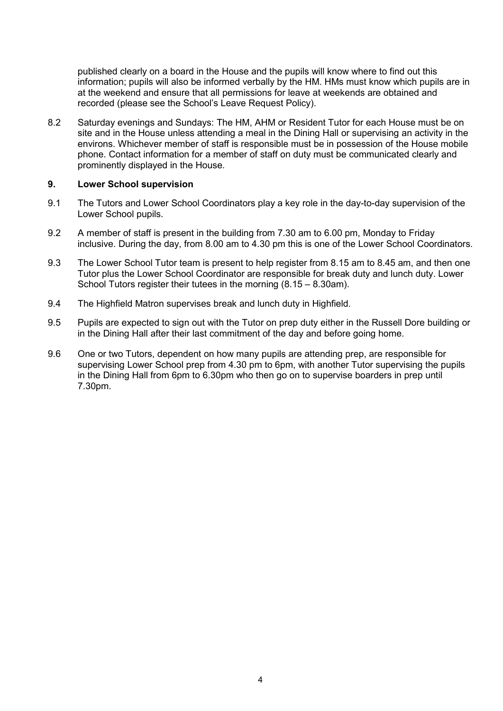published clearly on a board in the House and the pupils will know where to find out this information; pupils will also be informed verbally by the HM. HMs must know which pupils are in at the weekend and ensure that all permissions for leave at weekends are obtained and recorded (please see the School's Leave Request Policy).

8.2 Saturday evenings and Sundays: The HM, AHM or Resident Tutor for each House must be on site and in the House unless attending a meal in the Dining Hall or supervising an activity in the environs. Whichever member of staff is responsible must be in possession of the House mobile phone. Contact information for a member of staff on duty must be communicated clearly and prominently displayed in the House.

#### **9. Lower School supervision**

- 9.1 The Tutors and Lower School Coordinators play a key role in the day-to-day supervision of the Lower School pupils.
- 9.2 A member of staff is present in the building from 7.30 am to 6.00 pm, Monday to Friday inclusive. During the day, from 8.00 am to 4.30 pm this is one of the Lower School Coordinators.
- 9.3 The Lower School Tutor team is present to help register from 8.15 am to 8.45 am, and then one Tutor plus the Lower School Coordinator are responsible for break duty and lunch duty. Lower School Tutors register their tutees in the morning (8.15 – 8.30am).
- 9.4 The Highfield Matron supervises break and lunch duty in Highfield.
- 9.5 Pupils are expected to sign out with the Tutor on prep duty either in the Russell Dore building or in the Dining Hall after their last commitment of the day and before going home.
- 9.6 One or two Tutors, dependent on how many pupils are attending prep, are responsible for supervising Lower School prep from 4.30 pm to 6pm, with another Tutor supervising the pupils in the Dining Hall from 6pm to 6.30pm who then go on to supervise boarders in prep until 7.30pm.